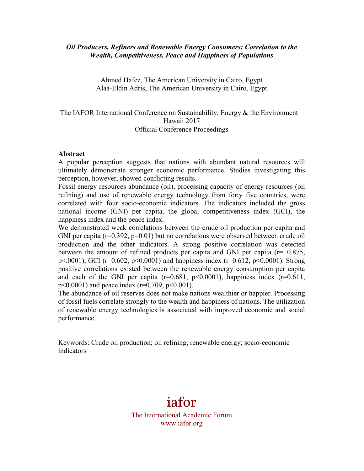#### *Oil Producers, Refiners and Renewable Energy Consumers: Correlation to the Wealth, Competitiveness, Peace and Happiness of Populations*

Ahmed Hafez, The American University in Cairo, Egypt Alaa-Eldin Adris, The American University in Cairo, Egypt

# The IAFOR International Conference on Sustainability, Energy  $\&$  the Environment – Hawaii 2017 Official Conference Proceedings

#### **Abstract**

A popular perception suggests that nations with abundant natural resources will ultimately demonstrate stronger economic performance. Studies investigating this perception, however, showed conflicting results.

Fossil energy resources abundance (oil), processing capacity of energy resources (oil refining) and use of renewable energy technology from forty five countries, were correlated with four socio-economic indicators. The indicators included the gross national income (GNI) per capita, the global competitiveness index (GCI), the happiness index and the peace index.

We demonstrated weak correlations between the crude oil production per capita and GNI per capita (r=0.392, p=0.01) but no correlations were observed between crude oil production and the other indicators. A strong positive correlation was detected between the amount of refined products per capita and GNI per capita ( $r=+0.875$ , p<.0001), GCI (r=0.602, p<0.0001) and happiness index (r=0.612, p<0.0001). Strong positive correlations existed between the renewable energy consumption per capita and each of the GNI per capita ( $r=0.681$ ,  $p<0.0001$ ), happiness index ( $r=0.611$ ,  $p \le 0.0001$ ) and peace index (r=0.709,  $p \le 0.001$ ).

The abundance of oil reserves does not make nations wealthier or happier. Processing of fossil fuels correlate strongly to the wealth and happiness of nations. The utilization of renewable energy technologies is associated with improved economic and social performance.

Keywords: Crude oil production; oil refining; renewable energy; socio-economic indicators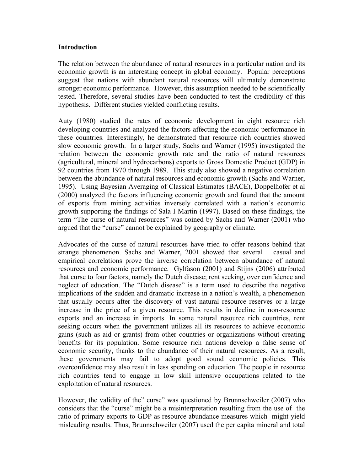#### **Introduction**

The relation between the abundance of natural resources in a particular nation and its economic growth is an interesting concept in global economy. Popular perceptions suggest that nations with abundant natural resources will ultimately demonstrate stronger economic performance. However, this assumption needed to be scientifically tested. Therefore, several studies have been conducted to test the credibility of this hypothesis. Different studies yielded conflicting results.

Auty (1980) studied the rates of economic development in eight resource rich developing countries and analyzed the factors affecting the economic performance in these countries. Interestingly, he demonstrated that resource rich countries showed slow economic growth. In a larger study, Sachs and Warner (1995) investigated the relation between the economic growth rate and the ratio of natural resources (agricultural, mineral and hydrocarbons) exports to Gross Domestic Product (GDP) in 92 countries from 1970 through 1989. This study also showed a negative correlation between the abundance of natural resources and economic growth (Sachs and Warner, 1995). Using Bayesian Averaging of Classical Estimates (BACE), Doppelhofer et al (2000) analyzed the factors influencing economic growth and found that the amount of exports from mining activities inversely correlated with a nation's economic growth supporting the findings of Sala I Martin (1997). Based on these findings, the term "The curse of natural resources" was coined by Sachs and Warner (2001) who argued that the "curse" cannot be explained by geography or climate.

Advocates of the curse of natural resources have tried to offer reasons behind that strange phenomenon. Sachs and Warner, 2001 showed that several casual and empirical correlations prove the inverse correlation between abundance of natural resources and economic performance. Gylfason (2001) and Stijns (2006) attributed that curse to four factors, namely the Dutch disease; rent seeking, over confidence and neglect of education. The "Dutch disease" is a term used to describe the negative implications of the sudden and dramatic increase in a nation's wealth, a phenomenon that usually occurs after the discovery of vast natural resource reserves or a large increase in the price of a given resource. This results in decline in non-resource exports and an increase in imports. In some natural resource rich countries, rent seeking occurs when the government utilizes all its resources to achieve economic gains (such as aid or grants) from other countries or organizations without creating benefits for its population. Some resource rich nations develop a false sense of economic security, thanks to the abundance of their natural resources. As a result, these governments may fail to adopt good sound economic policies. This overconfidence may also result in less spending on education. The people in resource rich countries tend to engage in low skill intensive occupations related to the exploitation of natural resources.

However, the validity of the" curse" was questioned by Brunnschweiler (2007) who considers that the "curse" might be a misinterpretation resulting from the use of the ratio of primary exports to GDP as resource abundance measures which might yield misleading results. Thus, Brunnschweiler (2007) used the per capita mineral and total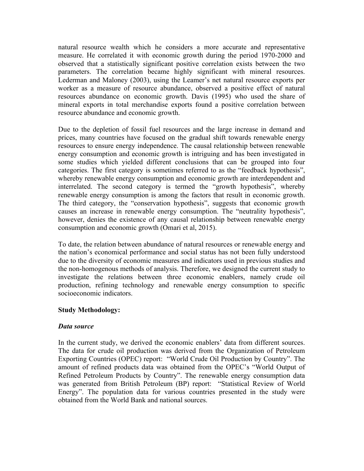natural resource wealth which he considers a more accurate and representative measure. He correlated it with economic growth during the period 1970-2000 and observed that a statistically significant positive correlation exists between the two parameters. The correlation became highly significant with mineral resources. Lederman and Maloney (2003), using the Leamer's net natural resource exports per worker as a measure of resource abundance, observed a positive effect of natural resources abundance on economic growth. Davis (1995) who used the share of mineral exports in total merchandise exports found a positive correlation between resource abundance and economic growth.

Due to the depletion of fossil fuel resources and the large increase in demand and prices, many countries have focused on the gradual shift towards renewable energy resources to ensure energy independence. The causal relationship between renewable energy consumption and economic growth is intriguing and has been investigated in some studies which yielded different conclusions that can be grouped into four categories. The first category is sometimes referred to as the "feedback hypothesis", whereby renewable energy consumption and economic growth are interdependent and interrelated. The second category is termed the "growth hypothesis", whereby renewable energy consumption is among the factors that result in economic growth. The third category, the "conservation hypothesis", suggests that economic growth causes an increase in renewable energy consumption. The "neutrality hypothesis", however, denies the existence of any causal relationship between renewable energy consumption and economic growth (Omari et al, 2015).

To date, the relation between abundance of natural resources or renewable energy and the nation's economical performance and social status has not been fully understood due to the diversity of economic measures and indicators used in previous studies and the non-homogenous methods of analysis. Therefore, we designed the current study to investigate the relations between three economic enablers, namely crude oil production, refining technology and renewable energy consumption to specific socioeconomic indicators.

#### **Study Methodology:**

#### *Data source*

In the current study, we derived the economic enablers' data from different sources. The data for crude oil production was derived from the Organization of Petroleum Exporting Countries (OPEC) report: "World Crude Oil Production by Country". The amount of refined products data was obtained from the OPEC's "World Output of Refined Petroleum Products by Country". The renewable energy consumption data was generated from British Petroleum (BP) report: "Statistical Review of World Energy". The population data for various countries presented in the study were obtained from the World Bank and national sources.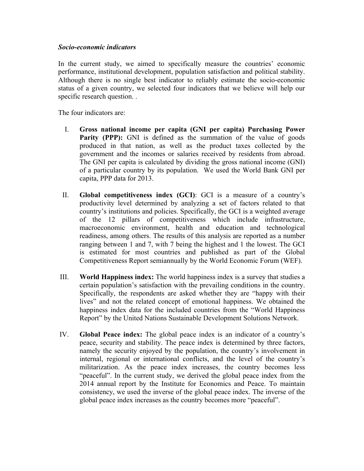#### *Socio-economic indicators*

In the current study, we aimed to specifically measure the countries' economic performance, institutional development, population satisfaction and political stability. Although there is no single best indicator to reliably estimate the socio-economic status of a given country, we selected four indicators that we believe will help our specific research question. .

The four indicators are:

- I. **Gross national income per capita (GNI per capita) Purchasing Power Parity (PPP):** GNI is defined as the summation of the value of goods produced in that nation, as well as the product taxes collected by the government and the incomes or salaries received by residents from abroad. The GNI per capita is calculated by dividing the gross national income (GNI) of a particular country by its population. We used the World Bank GNI per capita, PPP data for 2013.
- II. **Global competitiveness index (GCI)**: GCI is a measure of a country's productivity level determined by analyzing a set of factors related to that country's institutions and policies. Specifically, the GCI is a weighted average of the 12 pillars of competitiveness which include infrastructure, macroeconomic environment, health and education and technological readiness, among others. The results of this analysis are reported as a number ranging between 1 and 7, with 7 being the highest and 1 the lowest. The GCI is estimated for most countries and published as part of the Global Competitiveness Report semiannually by the World Economic Forum (WEF).
- III. **World Happiness index:** The world happiness index is a survey that studies a certain population's satisfaction with the prevailing conditions in the country. Specifically, the respondents are asked whether they are "happy with their lives" and not the related concept of emotional happiness. We obtained the happiness index data for the included countries from the "World Happiness Report" by the United Nations Sustainable Development Solutions Network.
- IV. **Global Peace index:** The global peace index is an indicator of a country's peace, security and stability. The peace index is determined by three factors, namely the security enjoyed by the population, the country's involvement in internal, regional or international conflicts, and the level of the country's militarization. As the peace index increases, the country becomes less "peaceful". In the current study, we derived the global peace index from the 2014 annual report by the Institute for Economics and Peace. To maintain consistency, we used the inverse of the global peace index. The inverse of the global peace index increases as the country becomes more "peaceful".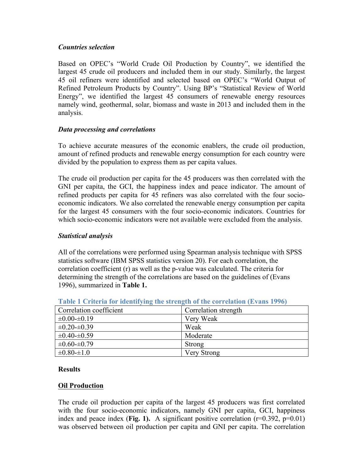# *Countries selection*

Based on OPEC's "World Crude Oil Production by Country", we identified the largest 45 crude oil producers and included them in our study. Similarly, the largest 45 oil refiners were identified and selected based on OPEC's "World Output of Refined Petroleum Products by Country". Using BP's "Statistical Review of World Energy", we identified the largest 45 consumers of renewable energy resources namely wind, geothermal, solar, biomass and waste in 2013 and included them in the analysis.

# *Data processing and correlations*

To achieve accurate measures of the economic enablers, the crude oil production, amount of refined products and renewable energy consumption for each country were divided by the population to express them as per capita values.

The crude oil production per capita for the 45 producers was then correlated with the GNI per capita, the GCI, the happiness index and peace indicator. The amount of refined products per capita for 45 refiners was also correlated with the four socioeconomic indicators. We also correlated the renewable energy consumption per capita for the largest 45 consumers with the four socio-economic indicators. Countries for which socio-economic indicators were not available were excluded from the analysis.

# *Statistical analysis*

All of the correlations were performed using Spearman analysis technique with SPSS statistics software (IBM SPSS statistics version 20). For each correlation, the correlation coefficient (r) as well as the p-value was calculated. The criteria for determining the strength of the correlations are based on the guidelines of (Evans 1996), summarized in **Table 1.**

| Correlation coefficient | Correlation strength |
|-------------------------|----------------------|
| $\pm 0.00 - \pm 0.19$   | Very Weak            |
| $\pm 0.20 - \pm 0.39$   | Weak                 |
| $\pm 0.40 - \pm 0.59$   | Moderate             |
| $\pm 0.60 - \pm 0.79$   | Strong               |
| $\pm 0.80 = \pm 1.0$    | <b>Very Strong</b>   |

#### **Table 1 Criteria for identifying the strength of the correlation (Evans 1996)**

#### **Results**

# **Oil Production**

The crude oil production per capita of the largest 45 producers was first correlated with the four socio-economic indicators, namely GNI per capita, GCI, happiness index and peace index (**Fig. 1).** A significant positive correlation (r=0.392, p=0.01) was observed between oil production per capita and GNI per capita. The correlation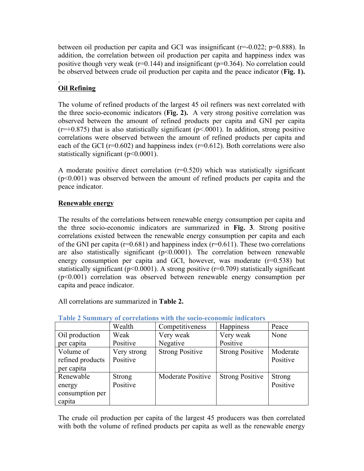between oil production per capita and GCI was insignificant (r=-0.022; p=0.888). In addition, the correlation between oil production per capita and happiness index was positive though very weak ( $r=0.144$ ) and insignificant ( $p=0.364$ ). No correlation could be observed between crude oil production per capita and the peace indicator (**Fig. 1).** 

# . **Oil Refining**

The volume of refined products of the largest 45 oil refiners was next correlated with the three socio-economic indicators (**Fig. 2).** A very strong positive correlation was observed between the amount of refined products per capita and GNI per capita  $(r=+0.875)$  that is also statistically significant ( $p<0.001$ ). In addition, strong positive correlations were observed between the amount of refined products per capita and each of the GCI ( $r=0.602$ ) and happiness index ( $r=0.612$ ). Both correlations were also statistically significant (p<0.0001).

A moderate positive direct correlation  $(r=0.520)$  which was statistically significant (p<0.001) was observed between the amount of refined products per capita and the peace indicator.

# **Renewable energy**

The results of the correlations between renewable energy consumption per capita and the three socio-economic indicators are summarized in **Fig. 3**. Strong positive correlations existed between the renewable energy consumption per capita and each of the GNI per capita ( $r=0.681$ ) and happiness index ( $r=0.611$ ). These two correlations are also statistically significant  $(p<0.0001)$ . The correlation between renewable energy consumption per capita and GCI, however, was moderate  $(r=0.538)$  but statistically significant ( $p<0.0001$ ). A strong positive ( $r=0.709$ ) statistically significant (p<0.001) correlation was observed between renewable energy consumption per capita and peace indicator.

All correlations are summarized in **Table 2.**

|                  | Wealth        | Competitiveness        | Happiness              | Peace         |
|------------------|---------------|------------------------|------------------------|---------------|
| Oil production   | Weak          | Very weak              | Very weak              | None          |
| per capita       | Positive      | Negative               | Positive               |               |
| Volume of        | Very strong   | <b>Strong Positive</b> | <b>Strong Positive</b> | Moderate      |
| refined products | Positive      |                        |                        | Positive      |
| per capita       |               |                        |                        |               |
| Renewable        | <b>Strong</b> | Moderate Positive      | <b>Strong Positive</b> | <b>Strong</b> |
| energy           | Positive      |                        |                        | Positive      |
| consumption per  |               |                        |                        |               |
| capita           |               |                        |                        |               |

**Table 2 Summary of correlations with the socio-economic indicators**

The crude oil production per capita of the largest 45 producers was then correlated with both the volume of refined products per capita as well as the renewable energy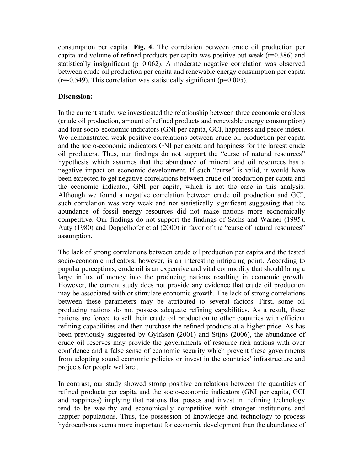consumption per capita **Fig. 4.** The correlation between crude oil production per capita and volume of refined products per capita was positive but weak ( $r=0.386$ ) and statistically insignificant (p=0.062). A moderate negative correlation was observed between crude oil production per capita and renewable energy consumption per capita  $(r=-0.549)$ . This correlation was statistically significant ( $p=0.005$ ).

### **Discussion:**

In the current study, we investigated the relationship between three economic enablers (crude oil production, amount of refined products and renewable energy consumption) and four socio-economic indicators (GNI per capita, GCI, happiness and peace index). We demonstrated weak positive correlations between crude oil production per capita and the socio-economic indicators GNI per capita and happiness for the largest crude oil producers. Thus, our findings do not support the "curse of natural resources" hypothesis which assumes that the abundance of mineral and oil resources has a negative impact on economic development. If such "curse" is valid, it would have been expected to get negative correlations between crude oil production per capita and the economic indicator, GNI per capita, which is not the case in this analysis. Although we found a negative correlation between crude oil production and GCI, such correlation was very weak and not statistically significant suggesting that the abundance of fossil energy resources did not make nations more economically competitive. Our findings do not support the findings of Sachs and Warner (1995), Auty (1980) and Doppelhofer et al (2000) in favor of the "curse of natural resources" assumption.

The lack of strong correlations between crude oil production per capita and the tested socio-economic indicators, however, is an interesting intriguing point. According to popular perceptions, crude oil is an expensive and vital commodity that should bring a large influx of money into the producing nations resulting in economic growth. However, the current study does not provide any evidence that crude oil production may be associated with or stimulate economic growth. The lack of strong correlations between these parameters may be attributed to several factors. First, some oil producing nations do not possess adequate refining capabilities. As a result, these nations are forced to sell their crude oil production to other countries with efficient refining capabilities and then purchase the refined products at a higher price. As has been previously suggested by Gylfason (2001) and Stijns (2006), the abundance of crude oil reserves may provide the governments of resource rich nations with over confidence and a false sense of economic security which prevent these governments from adopting sound economic policies or invest in the countries' infrastructure and projects for people welfare .

In contrast, our study showed strong positive correlations between the quantities of refined products per capita and the socio-economic indicators (GNI per capita, GCI and happiness) implying that nations that posses and invest in refining technology tend to be wealthy and economically competitive with stronger institutions and happier populations. Thus, the possession of knowledge and technology to process hydrocarbons seems more important for economic development than the abundance of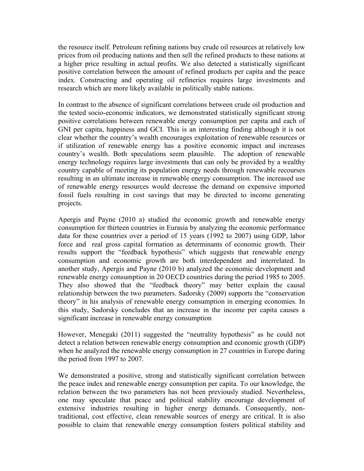the resource itself. Petroleum refining nations buy crude oil resources at relatively low prices from oil producing nations and then sell the refined products to these nations at a higher price resulting in actual profits. We also detected a statistically significant positive correlation between the amount of refined products per capita and the peace index. Constructing and operating oil refineries requires large investments and research which are more likely available in politically stable nations.

In contrast to the absence of significant correlations between crude oil production and the tested socio-economic indicators, we demonstrated statistically significant strong positive correlations between renewable energy consumption per capita and each of GNI per capita, happiness and GCI. This is an interesting finding although it is not clear whether the country's wealth encourages exploitation of renewable resources or if utilization of renewable energy has a positive economic impact and increases country's wealth. Both speculations seem plausible. The adoption of renewable energy technology requires large investments that can only be provided by a wealthy country capable of meeting its population energy needs through renewable recourses resulting in an ultimate increase in renewable energy consumption. The increased use of renewable energy resources would decrease the demand on expensive imported fossil fuels resulting in cost savings that may be directed to income generating projects.

Apergis and Payne (2010 a) studied the economic growth and renewable energy consumption for thirteen countries in Eurasia by analyzing the economic performance data for these countries over a period of 15 years (1992 to 2007) using GDP, labor force and real gross capital formation as determinants of economic growth. Their results support the "feedback hypothesis" which suggests that renewable energy consumption and economic growth are both interdependent and interrelated. In another study, Apergis and Payne (2010 b) analyzed the economic development and renewable energy consumption in 20 OECD countries during the period 1985 to 2005. They also showed that the "feedback theory" may better explain the causal relationship between the two parameters. Sadorsky (2009) supports the "conservation theory" in his analysis of renewable energy consumption in emerging economies. In this study, Sadorsky concludes that an increase in the income per capita causes a significant increase in renewable energy consumption

However, Menegaki (2011) suggested the "neutrality hypothesis" as he could not detect a relation between renewable energy consumption and economic growth (GDP) when he analyzed the renewable energy consumption in 27 countries in Europe during the period from 1997 to 2007.

We demonstrated a positive, strong and statistically significant correlation between the peace index and renewable energy consumption per capita. To our knowledge, the relation between the two parameters has not been previously studied. Nevertheless, one may speculate that peace and political stability encourage development of extensive industries resulting in higher energy demands. Consequently, nontraditional, cost effective, clean renewable sources of energy are critical. It is also possible to claim that renewable energy consumption fosters political stability and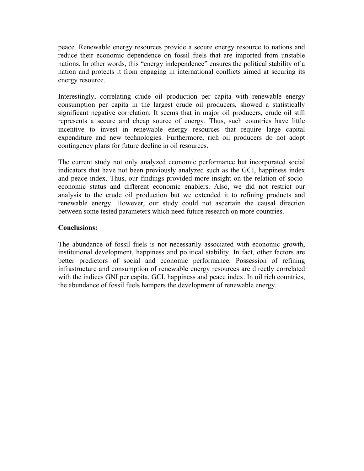peace. Renewable energy resources provide a secure energy resource to nations and reduce their economic dependence on fossil fuels that are imported from unstable nations. In other words, this "energy independence" ensures the political stability of a nation and protects it from engaging in international conflicts aimed at securing its energy resource.

Interestingly, correlating crude oil production per capita with renewable energy consumption per capita in the largest crude oil producers, showed a statistically significant negative correlation. It seems that in major oil producers, crude oil still represents a secure and cheap source of energy. Thus, such countries have little incentive to invest in renewable energy resources that require large capital expenditure and new technologies. Furthermore, rich oil producers do not adopt contingency plans for future decline in oil resources.

The current study not only analyzed economic performance but incorporated social indicators that have not been previously analyzed such as the GCI, happiness index and peace index. Thus, our findings provided more insight on the relation of socioeconomic status and different economic enablers. Also, we did not restrict our analysis to the crude oil production but we extended it to refining products and renewable energy. However, our study could not ascertain the causal direction between some tested parameters which need future research on more countries.

#### **Conclusions:**

The abundance of fossil fuels is not necessarily associated with economic growth, institutional development, happiness and political stability. In fact, other factors are better predictors of social and economic performance. Possession of refining infrastructure and consumption of renewable energy resources are directly correlated with the indices GNI per capita, GCI, happiness and peace index. In oil rich countries, the abundance of fossil fuels hampers the development of renewable energy.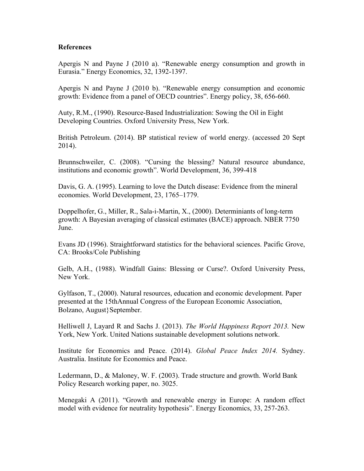#### **References**

Apergis N and Payne J (2010 a). "Renewable energy consumption and growth in Eurasia." Energy Economics, 32, 1392-1397.

Apergis N and Payne J (2010 b). "Renewable energy consumption and economic growth: Evidence from a panel of OECD countries". Energy policy, 38, 656-660.

Auty, R.M., (1990). Resource-Based Industrialization: Sowing the Oil in Eight Developing Countries. Oxford University Press, New York.

British Petroleum. (2014). BP statistical review of world energy. (accessed 20 Sept 2014).

Brunnschweiler, C. (2008). "Cursing the blessing? Natural resource abundance, institutions and economic growth". World Development, 36, 399-418

Davis, G. A. (1995). Learning to love the Dutch disease: Evidence from the mineral economies. World Development, 23, 1765–1779.

Doppelhofer, G., Miller, R., Sala-i-Martin, X., (2000). Determiniants of long-term growth: A Bayesian averaging of classical estimates (BACE) approach. NBER 7750 **June** 

Evans JD (1996). Straightforward statistics for the behavioral sciences. Pacific Grove, CA: Brooks/Cole Publishing

Gelb, A.H., (1988). Windfall Gains: Blessing or Curse?. Oxford University Press, New York.

Gylfason, T., (2000). Natural resources, education and economic development. Paper presented at the 15thAnnual Congress of the European Economic Association, Bolzano, August}September.

Helliwell J, Layard R and Sachs J. (2013). *The World Happiness Report 2013.* New York, New York. United Nations sustainable development solutions network.

Institute for Economics and Peace. (2014). *Global Peace Index 2014.* Sydney. Australia. Institute for Economics and Peace.

Ledermann, D., & Maloney, W. F. (2003). Trade structure and growth. World Bank Policy Research working paper, no. 3025.

Menegaki A (2011). "Growth and renewable energy in Europe: A random effect model with evidence for neutrality hypothesis". Energy Economics, 33, 257-263.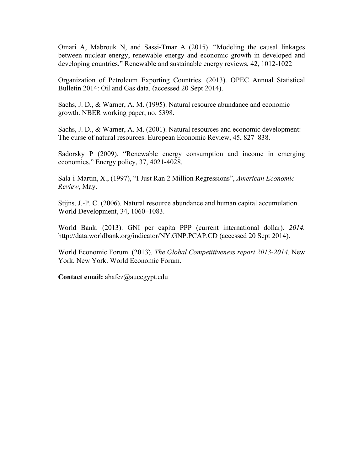Omari A, Mabrouk N, and Sassi-Tmar A (2015). "Modeling the causal linkages between nuclear energy, renewable energy and economic growth in developed and developing countries." Renewable and sustainable energy reviews, 42, 1012-1022

Organization of Petroleum Exporting Countries. (2013). OPEC Annual Statistical Bulletin 2014: Oil and Gas data. (accessed 20 Sept 2014).

Sachs, J. D., & Warner, A. M. (1995). Natural resource abundance and economic growth. NBER working paper, no. 5398.

Sachs, J. D., & Warner, A. M. (2001). Natural resources and economic development: The curse of natural resources. European Economic Review, 45, 827–838.

Sadorsky P (2009). "Renewable energy consumption and income in emerging economies." Energy policy, 37, 4021-4028.

Sala-i-Martin, X., (1997), "I Just Ran 2 Million Regressions", *American Economic Review*, May.

Stijns, J.-P. C. (2006). Natural resource abundance and human capital accumulation. World Development, 34, 1060–1083.

World Bank. (2013). GNI per capita PPP (current international dollar). *2014.*  http://data.worldbank.org/indicator/NY.GNP.PCAP.CD (accessed 20 Sept 2014).

World Economic Forum. (2013). *The Global Competitiveness report 2013-2014.* New York. New York. World Economic Forum.

**Contact email:** ahafez@aucegypt.edu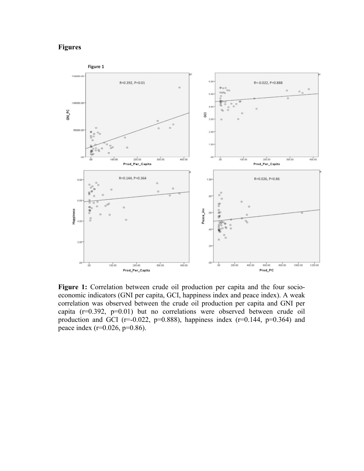# **Figures**



**Figure 1:** Correlation between crude oil production per capita and the four socioeconomic indicators (GNI per capita, GCI, happiness index and peace index). A weak correlation was observed between the crude oil production per capita and GNI per capita (r=0.392, p=0.01) but no correlations were observed between crude oil production and GCI ( $r=0.022$ ,  $p=0.888$ ), happiness index ( $r=0.144$ ,  $p=0.364$ ) and peace index ( $r=0.026$ ,  $p=0.86$ ).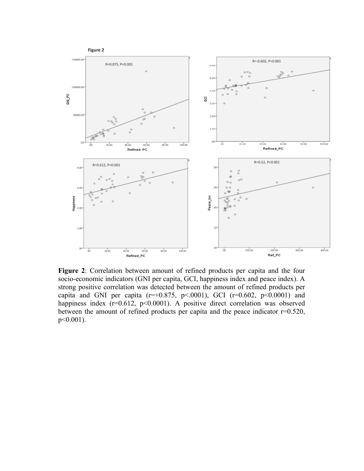

**Figure 2**: Correlation between amount of refined products per capita and the four socio-economic indicators (GNI per capita, GCI, happiness index and peace index). A strong positive correlation was detected between the amount of refined products per capita and GNI per capita ( $r=+0.875$ ,  $p<.0001$ ), GCI ( $r=0.602$ ,  $p<.0001$ ) and happiness index  $(r=0.612, p<0.0001)$ . A positive direct correlation was observed between the amount of refined products per capita and the peace indicator  $r=0.520$ , p<0.001).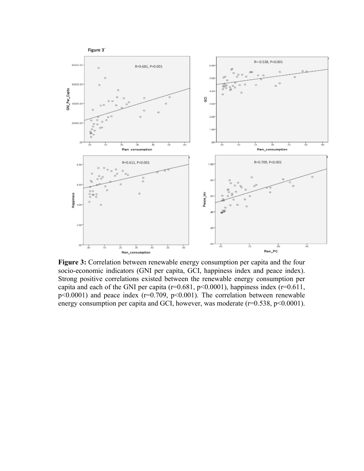

**Figure 3:** Correlation between renewable energy consumption per capita and the four socio-economic indicators (GNI per capita, GCI, happiness index and peace index). Strong positive correlations existed between the renewable energy consumption per capita and each of the GNI per capita ( $r=0.681$ ,  $p<0.0001$ ), happiness index ( $r=0.611$ ,  $p$ <0.0001) and peace index ( $r=0.709$ ,  $p$ <0.001). The correlation between renewable energy consumption per capita and GCI, however, was moderate  $(r=0.538, p<0.0001)$ .